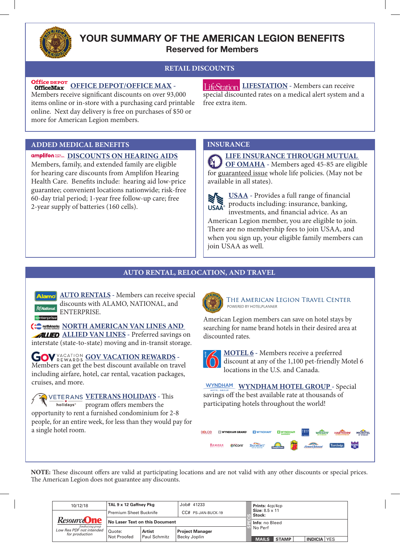

## **YOUR SUMMARY OF THE AMERICAN LEGION BENEFITS Reserved for Members**

## **RETAIL DISCOUNTS**

Office DEPOT<br>
Office Max OFFICE DEPOT/OFFICE MAX -

Members receive significant discounts on over 93,000 items online or in-store with a purchasing card printable online. Next day delivery is free on purchases of \$50 or more for American Legion members.

**LIFESTATION** - Members can receive special discounted rates on a medical alert system and a free extra item.

#### **ADDED MEDICAL BENEFITS INSURANCE**

**DISCOUNTS ON HEARING AIDS**  Members, family, and extended family are eligible for hearing care discounts from Amplifon Hearing Health Care. Benefits include: hearing aid low-price guarantee; convenient locations nationwide; risk-free 60-day trial period; 1-year free follow-up care; free

2-year supply of batteries (160 cells).

**LIFE INSURANCE THROUGH MUTUAL OF OMAHA -** Members aged 45-85 are eligible for guaranteed issue whole life policies. (May not be  $\text{Re}$  | available in all states).

> **USAA -** Provides a full range of financial products including: insurance, banking, **USAA®** investments, and financial advice. As an

American Legion member, you are eligible to join. There are no membership fees to join USAA, and when you sign up, your eligible family members can join USAA as well.

## **AUTO RENTAL, RELOCATION, AND TRAVEL**

**Alamo** AUTO RENTALS - Members can receive special discounts with ALAMO, NATIONAL, and ENTERPRISE.

**COMMANDER AMERICAN VAN LINES AND ALLIED ALLIED VAN LINES** - Preferred savings on interstate (state-to-state) moving and in-transit storage.

**GOV VACATION REWARDS -**Members can get the best discount available on travel including airfare, hotel, car rental, vacation packages, cruises, and more.

**VETERANS HOLIDAYS -** This holidays<sup>\*</sup> program offers members the opportunity to rent a furnished condominium for 2-8 people, for an entire week, for less than they would pay for a single hotel room.



THE AMERICAN LEGION TRAVEL CENTER POWERED BY HOTELPLANNER

American Legion members can save on hotel stays by searching for name brand hotels in their desired area at discounted rates.

**MOTEL 6 -** Members receive a preferred discount at any of the 1,100 pet-friendly Motel 6 locations in the U.S. and Canada.

**WYNDHAM WYNDHAM HOTEL GROUP - Special** savings off the best available rate at thousands of participating hotels throughout the world!

| DOLCE | <b>WYNDHAM GRAND</b> |        | <b>MYNDHAM</b>                            |           | <b>WYNDHAM</b><br><b>GARDEN'</b> |                | <b>WINGATE</b><br>BY WYNDHAM | <b>STATE</b><br><b>HAWTHORN'</b><br>SUITES BY WYNDHAM | $\mathbf{A}$<br><b>MICROTEL</b><br>BY WYNDHAM |
|-------|----------------------|--------|-------------------------------------------|-----------|----------------------------------|----------------|------------------------------|-------------------------------------------------------|-----------------------------------------------|
|       | RAMADA               | encore | <b>BAYMONT</b><br><b>INN &amp; SUITES</b> | Days Inn. | Super<br><b>Letters</b>          | Howard Johnson |                              | Travelodge                                            | <b>Knights</b><br>Inn                         |

**NOTE:** These discount offers are valid at participating locations and are not valid with any other discounts or special prices. The American Legion does not guarantee any discounts.